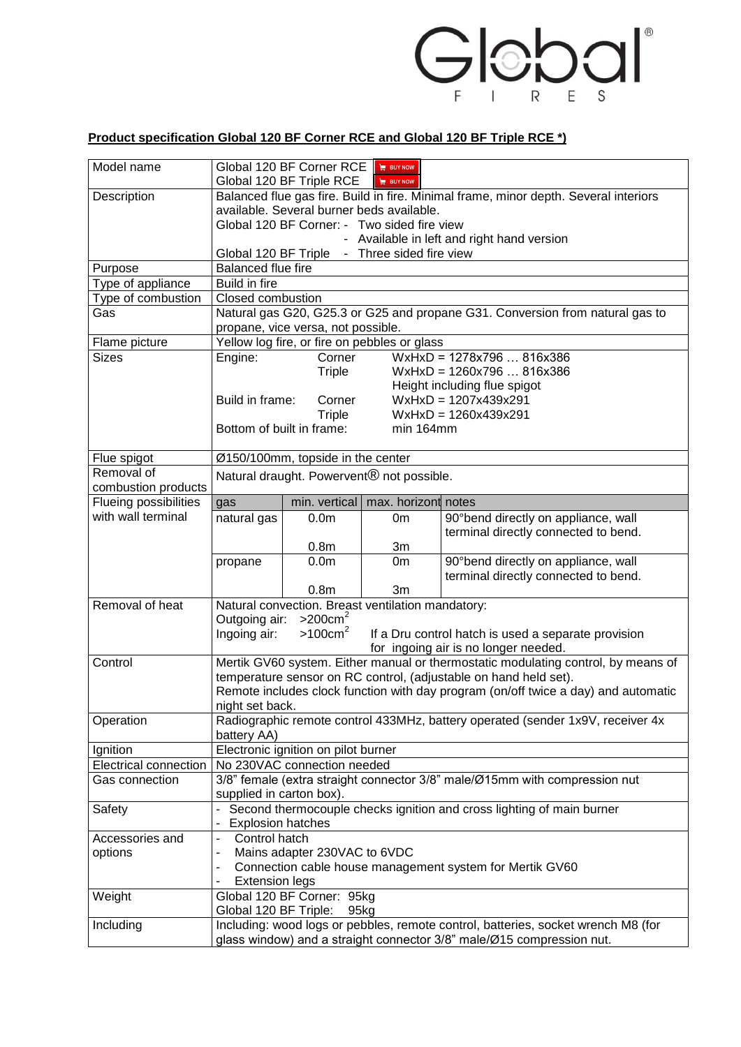

## **Product specification Global 120 BF Corner RCE and Global 120 BF Triple RCE \*)**

| Model name                    | Global 120 BF Corner RCE<br>$\equiv$ BUY NOW<br>Global 120 BF Triple RCE<br>$\equiv$ BUY NOW                                                               |                             |                                                   |                                      |  |  |  |
|-------------------------------|------------------------------------------------------------------------------------------------------------------------------------------------------------|-----------------------------|---------------------------------------------------|--------------------------------------|--|--|--|
| Description                   | Balanced flue gas fire. Build in fire. Minimal frame, minor depth. Several interiors                                                                       |                             |                                                   |                                      |  |  |  |
|                               | available. Several burner beds available.                                                                                                                  |                             |                                                   |                                      |  |  |  |
|                               | Global 120 BF Corner: - Two sided fire view                                                                                                                |                             |                                                   |                                      |  |  |  |
|                               | - Available in left and right hand version                                                                                                                 |                             |                                                   |                                      |  |  |  |
|                               | - Three sided fire view<br>Global 120 BF Triple                                                                                                            |                             |                                                   |                                      |  |  |  |
| Purpose                       | <b>Balanced flue fire</b>                                                                                                                                  |                             |                                                   |                                      |  |  |  |
| Type of appliance             | Build in fire                                                                                                                                              |                             |                                                   |                                      |  |  |  |
| Type of combustion            | <b>Closed combustion</b>                                                                                                                                   |                             |                                                   |                                      |  |  |  |
| Gas                           | Natural gas G20, G25.3 or G25 and propane G31. Conversion from natural gas to                                                                              |                             |                                                   |                                      |  |  |  |
|                               | propane, vice versa, not possible.                                                                                                                         |                             |                                                   |                                      |  |  |  |
| Flame picture<br><b>Sizes</b> | Yellow log fire, or fire on pebbles or glass                                                                                                               |                             |                                                   |                                      |  |  |  |
|                               | Corner<br>WxHxD = 1278x796  816x386<br>Engine:<br>Triple<br>$WxHxD = 1260x796816x386$                                                                      |                             |                                                   |                                      |  |  |  |
|                               |                                                                                                                                                            |                             |                                                   | Height including flue spigot         |  |  |  |
|                               | Build in frame:                                                                                                                                            | Corner                      |                                                   | $WxHxD = 1207x439x291$               |  |  |  |
|                               |                                                                                                                                                            | Triple                      |                                                   | $WxHxD = 1260x439x291$               |  |  |  |
|                               | Bottom of built in frame:                                                                                                                                  |                             | min 164mm                                         |                                      |  |  |  |
|                               |                                                                                                                                                            |                             |                                                   |                                      |  |  |  |
| Flue spigot                   | Ø150/100mm, topside in the center                                                                                                                          |                             |                                                   |                                      |  |  |  |
| Removal of                    | Natural draught. Powervent <sup>®</sup> not possible.                                                                                                      |                             |                                                   |                                      |  |  |  |
| combustion products           |                                                                                                                                                            |                             |                                                   |                                      |  |  |  |
| <b>Flueing possibilities</b>  | gas                                                                                                                                                        | min. vertical               | max. horizont notes                               |                                      |  |  |  |
| with wall terminal            | natural gas                                                                                                                                                | 0.0 <sub>m</sub>            | 0m                                                | 90°bend directly on appliance, wall  |  |  |  |
|                               |                                                                                                                                                            |                             |                                                   | terminal directly connected to bend. |  |  |  |
|                               |                                                                                                                                                            | 0.8 <sub>m</sub>            | 3m                                                |                                      |  |  |  |
|                               | propane                                                                                                                                                    | 0.0 <sub>m</sub>            | 0 <sub>m</sub>                                    | 90°bend directly on appliance, wall  |  |  |  |
|                               |                                                                                                                                                            |                             |                                                   | terminal directly connected to bend. |  |  |  |
|                               |                                                                                                                                                            | 0.8 <sub>m</sub>            | 3m                                                |                                      |  |  |  |
| Removal of heat               |                                                                                                                                                            |                             | Natural convection. Breast ventilation mandatory: |                                      |  |  |  |
|                               | Outgoing air:                                                                                                                                              | $>200$ cm <sup>2</sup>      |                                                   |                                      |  |  |  |
|                               | >100cm <sup>2</sup><br>Ingoing air:<br>If a Dru control hatch is used a separate provision                                                                 |                             |                                                   |                                      |  |  |  |
| Control                       | for ingoing air is no longer needed.                                                                                                                       |                             |                                                   |                                      |  |  |  |
|                               | Mertik GV60 system. Either manual or thermostatic modulating control, by means of<br>temperature sensor on RC control, (adjustable on hand held set).      |                             |                                                   |                                      |  |  |  |
|                               |                                                                                                                                                            |                             |                                                   |                                      |  |  |  |
|                               | Remote includes clock function with day program (on/off twice a day) and automatic<br>night set back.                                                      |                             |                                                   |                                      |  |  |  |
| Operation                     | Radiographic remote control 433MHz, battery operated (sender 1x9V, receiver 4x                                                                             |                             |                                                   |                                      |  |  |  |
|                               | battery AA)                                                                                                                                                |                             |                                                   |                                      |  |  |  |
| Ignition                      | Electronic ignition on pilot burner                                                                                                                        |                             |                                                   |                                      |  |  |  |
| <b>Electrical connection</b>  |                                                                                                                                                            | No 230VAC connection needed |                                                   |                                      |  |  |  |
| Gas connection                | 3/8" female (extra straight connector 3/8" male/Ø15mm with compression nut                                                                                 |                             |                                                   |                                      |  |  |  |
|                               | supplied in carton box).                                                                                                                                   |                             |                                                   |                                      |  |  |  |
| Safety                        | Second thermocouple checks ignition and cross lighting of main burner                                                                                      |                             |                                                   |                                      |  |  |  |
|                               | <b>Explosion hatches</b>                                                                                                                                   |                             |                                                   |                                      |  |  |  |
| Accessories and               | Control hatch<br>$\overline{\phantom{0}}$                                                                                                                  |                             |                                                   |                                      |  |  |  |
| options                       | Mains adapter 230VAC to 6VDC                                                                                                                               |                             |                                                   |                                      |  |  |  |
|                               | Connection cable house management system for Mertik GV60<br>$\overline{\phantom{m}}$                                                                       |                             |                                                   |                                      |  |  |  |
|                               |                                                                                                                                                            | <b>Extension legs</b>       |                                                   |                                      |  |  |  |
| Weight                        | Global 120 BF Corner: 95kg                                                                                                                                 |                             |                                                   |                                      |  |  |  |
|                               | Global 120 BF Triple:<br>95kg                                                                                                                              |                             |                                                   |                                      |  |  |  |
| Including                     | Including: wood logs or pebbles, remote control, batteries, socket wrench M8 (for<br>glass window) and a straight connector 3/8" male/Ø15 compression nut. |                             |                                                   |                                      |  |  |  |
|                               |                                                                                                                                                            |                             |                                                   |                                      |  |  |  |